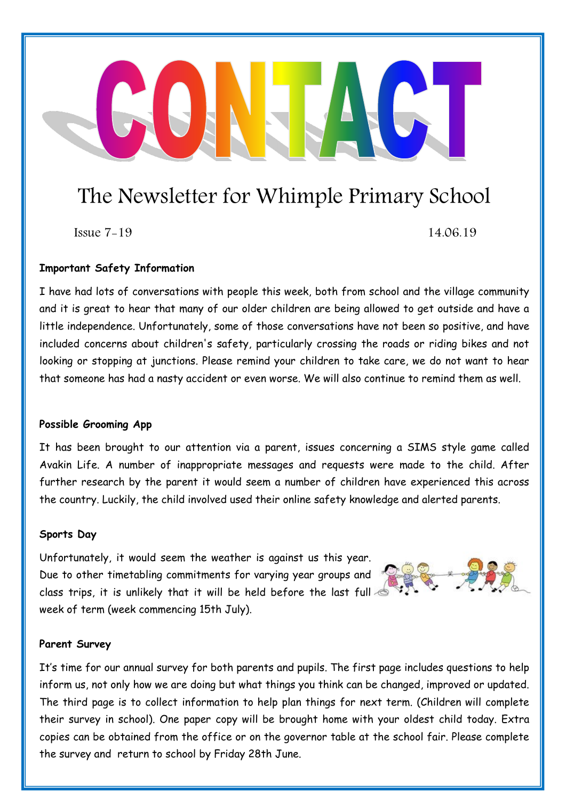### The Newsletter for Whimple Primary School

 $Is sue 7-19$  14.06.19

#### **Important Safety Information**

I have had lots of conversations with people this week, both from school and the village community and it is great to hear that many of our older children are being allowed to get outside and have a little independence. Unfortunately, some of those conversations have not been so positive, and have included concerns about children's safety, particularly crossing the roads or riding bikes and not looking or stopping at junctions. Please remind your children to take care, we do not want to hear that someone has had a nasty accident or even worse. We will also continue to remind them as well.

#### **Possible Grooming App**

It has been brought to our attention via a parent, issues concerning a SIMS style game called Avakin Life. A number of inappropriate messages and requests were made to the child. After further research by the parent it would seem a number of children have experienced this across the country. Luckily, the child involved used their online safety knowledge and alerted parents.

#### **Sports Day**

Unfortunately, it would seem the weather is against us this year. Due to other timetabling commitments for varying year groups and class trips, it is unlikely that it will be held before the last full week of term (week commencing 15th July).

#### **Parent Survey**

It's time for our annual survey for both parents and pupils. The first page includes questions to help inform us, not only how we are doing but what things you think can be changed, improved or updated. The third page is to collect information to help plan things for next term. (Children will complete their survey in school). One paper copy will be brought home with your oldest child today. Extra copies can be obtained from the office or on the governor table at the school fair. Please complete the survey and return to school by Friday 28th June.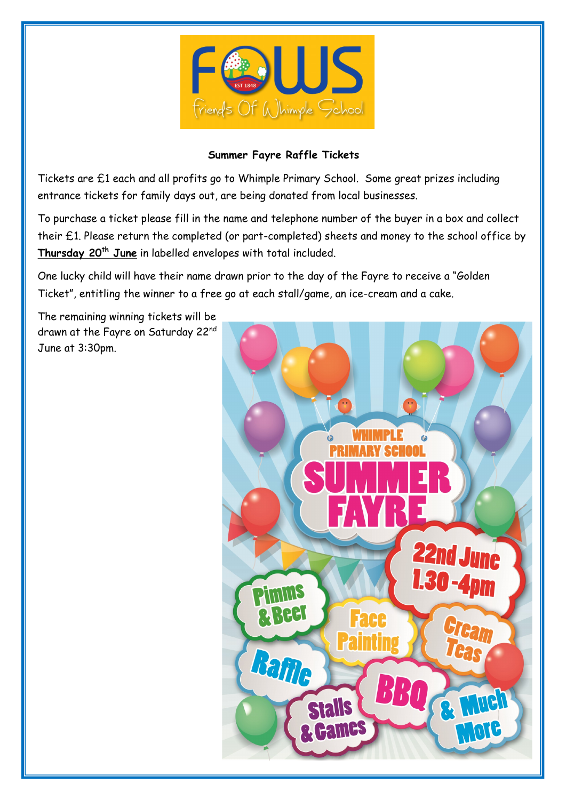

#### **Summer Fayre Raffle Tickets**

Tickets are £1 each and all profits go to Whimple Primary School. Some great prizes including entrance tickets for family days out, are being donated from local businesses.

To purchase a ticket please fill in the name and telephone number of the buyer in a box and collect their £1. Please return the completed (or part-completed) sheets and money to the school office by **Thursday 20th June** in labelled envelopes with total included.

One lucky child will have their name drawn prior to the day of the Fayre to receive a "Golden Ticket", entitling the winner to a free go at each stall/game, an ice-cream and a cake.

The remaining winning tickets will be drawn at the Fayre on Saturday 22<sup>nd</sup> June at 3:30pm.